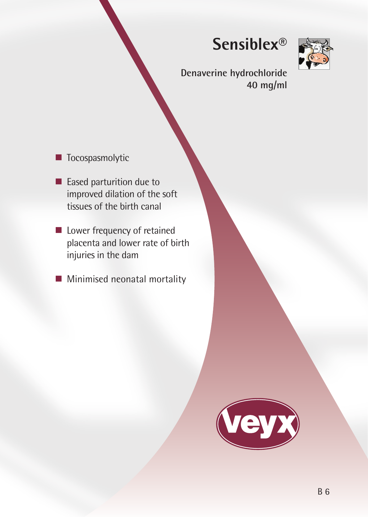# **Sensiblex®**



**Denaverine hydrochloride 40 mg/ml**

- **T**ocospasmolytic
- Eased parturition due to improved dilation of the soft tissues of the birth canal
- **Lower frequency of retained** placenta and lower rate of birth injuries in the dam
- **Minimised neonatal mortality**

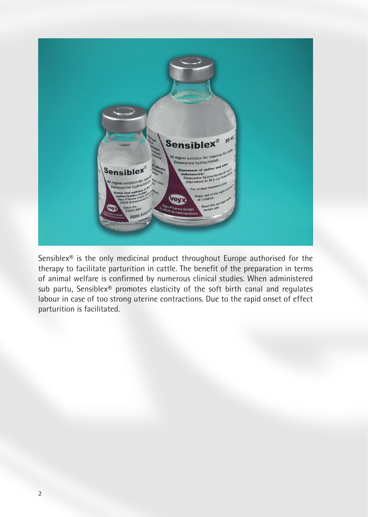

Sensiblex® is the only medicinal product throughout Europe authorised for the therapy to facilitate parturition in cattle. The benefit of the preparation in terms of animal welfare is confirmed by numerous clinical studies. When administered sub partu, Sensiblex® promotes elasticity of the soft birth canal and regulates labour in case of too strong uterine contractions. Due to the rapid onset of effect parturition is facilitated.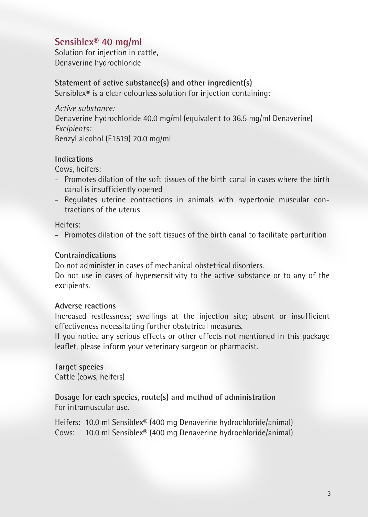## **Sensiblex® 40 mg/ml**

Solution for injection in cattle, Denaverine hydrochloride

## **Statement of active substance(s) and other ingredient(s)**

Sensiblex® is a clear colourless solution for injection containing:

*Active substance:* Denaverine hydrochloride 40.0 mg/ml (equivalent to 36.5 mg/ml Denaverine) *Excipients:* Benzyl alcohol (E1519) 20.0 mg/ml

## **Indications**

Cows, heifers:

- Promotes dilation of the soft tissues of the birth canal in cases where the birth canal is insufficiently opened
- Regulates uterine contractions in animals with hypertonic muscular contractions of the uterus

Heifers:

- Promotes dilation of the soft tissues of the birth canal to facilitate parturition

## **Contraindications**

Do not administer in cases of mechanical obstetrical disorders.

Do not use in cases of hypersensitivity to the active substance or to any of the excipients.

## **Adverse reactions**

Increased restlessness; swellings at the injection site; absent or insufficient effectiveness necessitating further obstetrical measures.

If you notice any serious effects or other effects not mentioned in this package leaflet, please inform your veterinary surgeon or pharmacist.

**Target species** Cattle (cows, heifers)

## **Dosage for each species, route(s) and method of administration** For intramuscular use.

Heifers: 10.0 ml Sensiblex® (400 mg Denaverine hydrochloride/animal) Cows: 10.0 ml Sensiblex® (400 mg Denaverine hydrochloride/animal)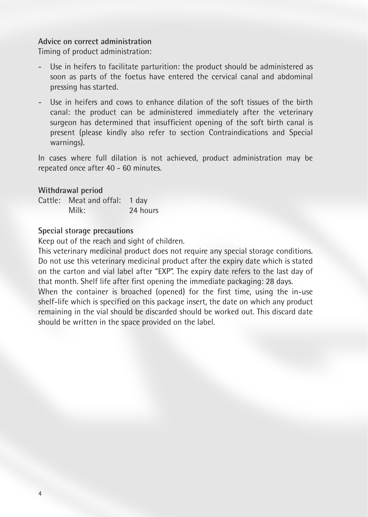## **Advice on correct administration**

Timing of product administration:

- Use in heifers to facilitate parturition: the product should be administered as soon as parts of the foetus have entered the cervical canal and abdominal pressing has started.
- Use in heifers and cows to enhance dilation of the soft tissues of the birth canal: the product can be administered immediately after the veterinary surgeon has determined that insufficient opening of the soft birth canal is present (please kindly also refer to section Contraindications and Special warnings).

In cases where full dilation is not achieved, product administration may be repeated once after 40 - 60 minutes.

#### **Withdrawal period**

|  | Cattle: Meat and offal: 1 day |          |
|--|-------------------------------|----------|
|  | Milk:                         | 24 hours |

#### **Special storage precautions**

Keep out of the reach and sight of children.

This veterinary medicinal product does not require any special storage conditions. Do not use this veterinary medicinal product after the expiry date which is stated on the carton and vial label after "EXP". The expiry date refers to the last day of that month. Shelf life after first opening the immediate packaging: 28 days.

When the container is broached (opened) for the first time, using the in-use shelf-life which is specified on this package insert, the date on which any product remaining in the vial should be discarded should be worked out. This discard date should be written in the space provided on the label.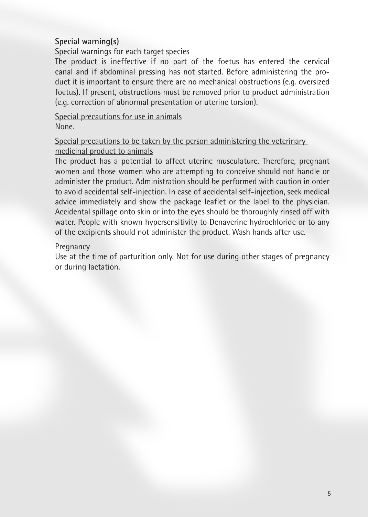## **Special warning(s)**

## Special warnings for each target species

The product is ineffective if no part of the foetus has entered the cervical canal and if abdominal pressing has not started. Before administering the product it is important to ensure there are no mechanical obstructions (e.g. oversized foetus). If present, obstructions must be removed prior to product administration (e.g. correction of abnormal presentation or uterine torsion).

## Special precautions for use in animals None.

## Special precautions to be taken by the person administering the veterinary medicinal product to animals

The product has a potential to affect uterine musculature. Therefore, pregnant women and those women who are attempting to conceive should not handle or administer the product. Administration should be performed with caution in order to avoid accidental self-injection. In case of accidental self-injection, seek medical advice immediately and show the package leaflet or the label to the physician. Accidental spillage onto skin or into the eyes should be thoroughly rinsed off with water. People with known hypersensitivity to Denaverine hydrochloride or to any of the excipients should not administer the product. Wash hands after use.

#### Pregnancy

Use at the time of parturition only. Not for use during other stages of pregnancy or during lactation.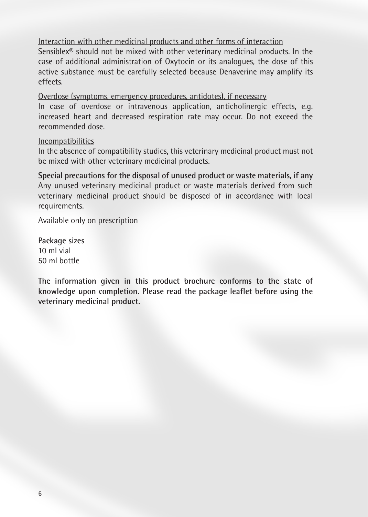Interaction with other medicinal products and other forms of interaction

Sensiblex® should not be mixed with other veterinary medicinal products. In the case of additional administration of Oxytocin or its analogues, the dose of this active substance must be carefully selected because Denaverine may amplify its effects.

Overdose (symptoms, emergency procedures, antidotes), if necessary

In case of overdose or intravenous application, anticholinergic effects, e.g. increased heart and decreased respiration rate may occur. Do not exceed the recommended dose.

#### Incompatibilities

In the absence of compatibility studies, this veterinary medicinal product must not be mixed with other veterinary medicinal products.

**Special precautions for the disposal of unused product or waste materials, if any** Any unused veterinary medicinal product or waste materials derived from such veterinary medicinal product should be disposed of in accordance with local requirements.

Available only on prescription

**Package sizes** 10 ml vial 50 ml bottle

**The information given in this product brochure conforms to the state of knowledge upon completion. Please read the package leaflet before using the veterinary medicinal product.**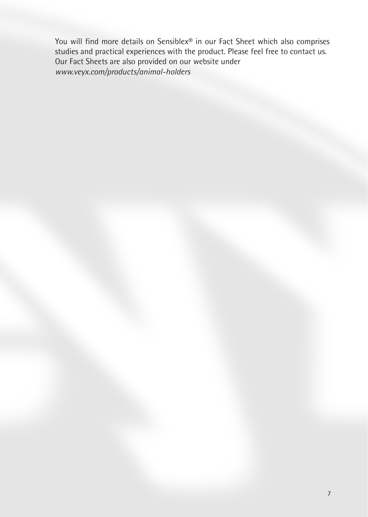You will find more details on Sensiblex® in our Fact Sheet which also comprises studies and practical experiences with the product. Please feel free to contact us. Our Fact Sheets are also provided on our website under *www.veyx.com/products/animal-holders*